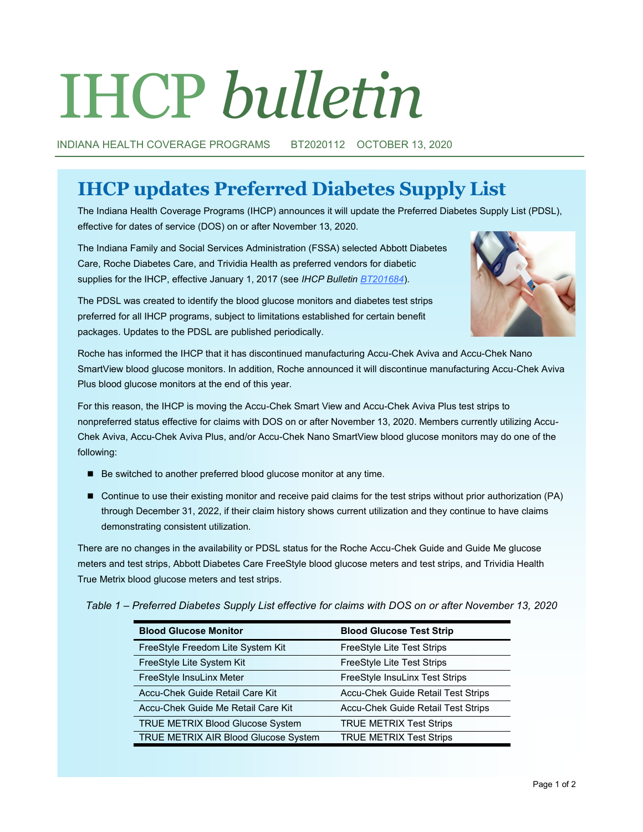# IHCP *bulletin*

INDIANA HEALTH COVERAGE PROGRAMS BT2020112 OCTOBER 13, 2020

# **IHCP updates Preferred Diabetes Supply List**

The Indiana Health Coverage Programs (IHCP) announces it will update the Preferred Diabetes Supply List (PDSL), effective for dates of service (DOS) on or after November 13, 2020.

The Indiana Family and Social Services Administration (FSSA) selected Abbott Diabetes Care, Roche Diabetes Care, and Trividia Health as preferred vendors for diabetic supplies for the IHCP, effective January 1, 2017 (see *IHCP Bulletin [BT201684](http://provider.indianamedicaid.com/ihcp/Bulletins/BT201684.pdf)*).



The PDSL was created to identify the blood glucose monitors and diabetes test strips preferred for all IHCP programs, subject to limitations established for certain benefit packages. Updates to the PDSL are published periodically.

Roche has informed the IHCP that it has discontinued manufacturing Accu-Chek Aviva and Accu-Chek Nano SmartView blood glucose monitors. In addition, Roche announced it will discontinue manufacturing Accu-Chek Aviva Plus blood glucose monitors at the end of this year.

For this reason, the IHCP is moving the Accu-Chek Smart View and Accu-Chek Aviva Plus test strips to nonpreferred status effective for claims with DOS on or after November 13, 2020. Members currently utilizing Accu-Chek Aviva, Accu-Chek Aviva Plus, and/or Accu-Chek Nano SmartView blood glucose monitors may do one of the following:

- Be switched to another preferred blood glucose monitor at any time.
- Continue to use their existing monitor and receive paid claims for the test strips without prior authorization (PA) through December 31, 2022, if their claim history shows current utilization and they continue to have claims demonstrating consistent utilization.

There are no changes in the availability or PDSL status for the Roche Accu-Chek Guide and Guide Me glucose meters and test strips, Abbott Diabetes Care FreeStyle blood glucose meters and test strips, and Trividia Health True Metrix blood glucose meters and test strips.

*Table 1 – Preferred Diabetes Supply List effective for claims with DOS on or after November 13, 2020* 

| <b>Blood Glucose Monitor</b>         | <b>Blood Glucose Test Strip</b>           |
|--------------------------------------|-------------------------------------------|
| FreeStyle Freedom Lite System Kit    | FreeStyle Lite Test Strips                |
| FreeStyle Lite System Kit            | FreeStyle Lite Test Strips                |
| FreeStyle InsuLinx Meter             | FreeStyle InsuLinx Test Strips            |
| Accu-Chek Guide Retail Care Kit      | <b>Accu-Chek Guide Retail Test Strips</b> |
| Accu-Chek Guide Me Retail Care Kit   | Accu-Chek Guide Retail Test Strips        |
| TRUE METRIX Blood Glucose System     | <b>TRUE METRIX Test Strips</b>            |
| TRUE METRIX AIR Blood Glucose System | <b>TRUE METRIX Test Strips</b>            |